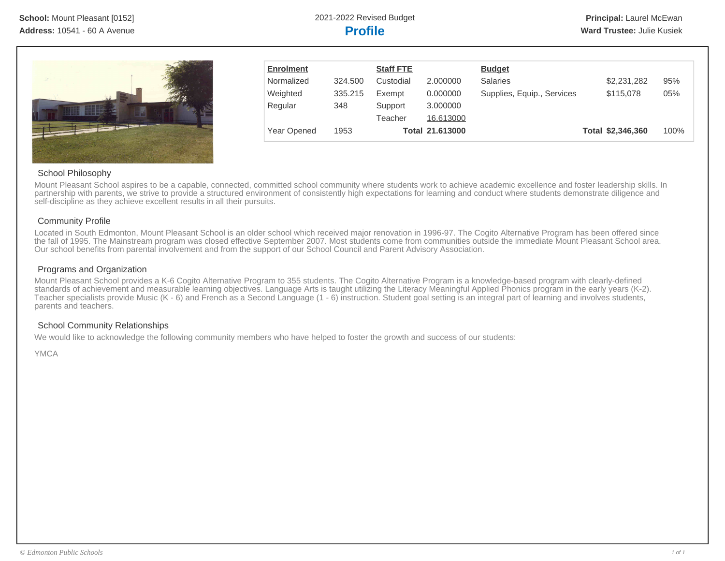

| <b>Enrolment</b> |         | <b>Staff FTE</b> |                        | <b>Budget</b>              |                   |      |
|------------------|---------|------------------|------------------------|----------------------------|-------------------|------|
| Normalized       | 324.500 | Custodial        | 2.000000               | <b>Salaries</b>            | \$2,231,282       | 95%  |
| Weighted         | 335.215 | Exempt           | 0.000000               | Supplies, Equip., Services | \$115,078         | 05%  |
| Regular          | 348     | Support          | 3.000000               |                            |                   |      |
|                  |         | Teacher          | 16.613000              |                            |                   |      |
| Year Opened      | 1953    |                  | <b>Total 21.613000</b> |                            | Total \$2,346,360 | 100% |

#### School Philosophy

Mount Pleasant School aspires to be a capable, connected, committed school community where students work to achieve academic excellence and foster leadership skills. In partnership with parents, we strive to provide a structured environment of consistently high expectations for learning and conduct where students demonstrate diligence and self-discipline as they achieve excellent results in all their pursuits.

#### Community Profile

Located in South Edmonton, Mount Pleasant School is an older school which received major renovation in 1996-97. The Cogito Alternative Program has been offered since the fall of 1995. The Mainstream program was closed effective September 2007. Most students come from communities outside the immediate Mount Pleasant School area. Our school benefits from parental involvement and from the support of our School Council and Parent Advisory Association.

#### Programs and Organization

Mount Pleasant School provides a K-6 Cogito Alternative Program to 355 students. The Cogito Alternative Program is a knowledge-based program with clearly-defined standards of achievement and measurable learning objectives. Language Arts is taught utilizing the Literacy Meaningful Applied Phonics program in the early years (K-2). Teacher specialists provide Music (K - 6) and French as a Second Language (1 - 6) instruction. Student goal setting is an integral part of learning and involves students, parents and teachers.

### School Community Relationships

We would like to acknowledge the following community members who have helped to foster the growth and success of our students:

YMCA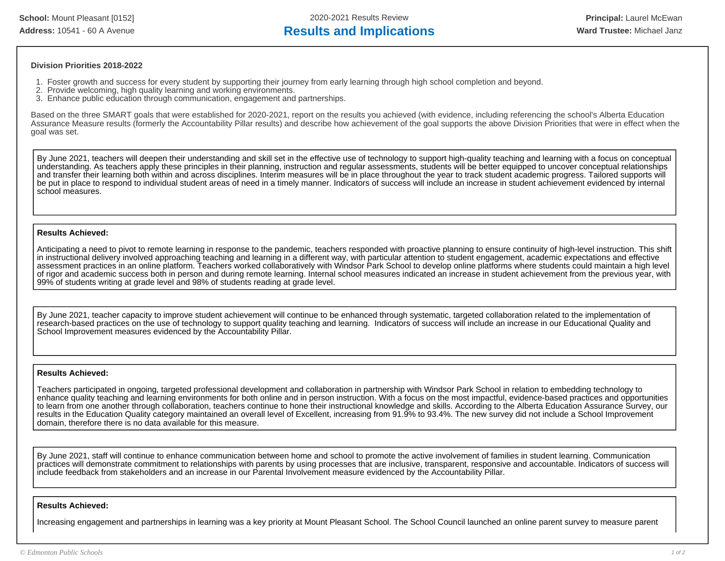**School:** Mount Pleasant [0152] 2020-2021 Results Review **Principal:** Laurel McEwan Address: 10541 - 60 A Avenue **Results and Implications Results and Implications Ward Trustee:** Michael Janz

#### **Division Priorities 2018-2022**

- 1. Foster growth and success for every student by supporting their journey from early learning through high school completion and beyond.
- 2. Provide welcoming, high quality learning and working environments.
- 3. Enhance public education through communication, engagement and partnerships.

Based on the three SMART goals that were established for 2020-2021, report on the results you achieved (with evidence, including referencing the school's Alberta Education Assurance Measure results (formerly the Accountability Pillar results) and describe how achievement of the goal supports the above Division Priorities that were in effect when the goal was set.

By June 2021, teachers will deepen their understanding and skill set in the effective use of technology to support high-quality teaching and learning with a focus on conceptual understanding. As teachers apply these principles in their planning, instruction and regular assessments, students will be better equipped to uncover conceptual relationships and transfer their learning both within and across disciplines. Interim measures will be in place throughout the year to track student academic progress. Tailored supports will be put in place to respond to individual student areas of need in a timely manner. Indicators of success will include an increase in student achievement evidenced by internal school measures.

#### **Results Achieved:**

Anticipating a need to pivot to remote learning in response to the pandemic, teachers responded with proactive planning to ensure continuity of high-level instruction. This shift in instructional delivery involved approaching teaching and learning in a different way, with particular attention to student engagement, academic expectations and effective assessment practices in an online platform. Teachers worked collaboratively with Windsor Park School to develop online platforms where students could maintain a high level of rigor and academic success both in person and during remote learning. Internal school measures indicated an increase in student achievement from the previous year, with 99% of students writing at grade level and 98% of students reading at grade level.

By June 2021, teacher capacity to improve student achievement will continue to be enhanced through systematic, targeted collaboration related to the implementation of research-based practices on the use of technology to support quality teaching and learning. Indicators of success will include an increase in our Educational Quality and School Improvement measures evidenced by the Accountability Pillar.

#### **Results Achieved:**

Teachers participated in ongoing, targeted professional development and collaboration in partnership with Windsor Park School in relation to embedding technology to enhance quality teaching and learning environments for both online and in person instruction. With a focus on the most impactful, evidence-based practices and opportunities to learn from one another through collaboration, teachers continue to hone their instructional knowledge and skills. According to the Alberta Education Assurance Survey, our results in the Education Quality category maintained an overall level of Excellent, increasing from 91.9% to 93.4%. The new survey did not include a School Improvement domain, therefore there is no data available for this measure.

By June 2021, staff will continue to enhance communication between home and school to promote the active involvement of families in student learning. Communication practices will demonstrate commitment to relationships with parents by using processes that are inclusive, transparent, responsive and accountable. Indicators of success will include feedback from stakeholders and an increase in our Parental Involvement measure evidenced by the Accountability Pillar.

#### **Results Achieved:**

Increasing engagement and partnerships in learning was a key priority at Mount Pleasant School. The School Council launched an online parent survey to measure parent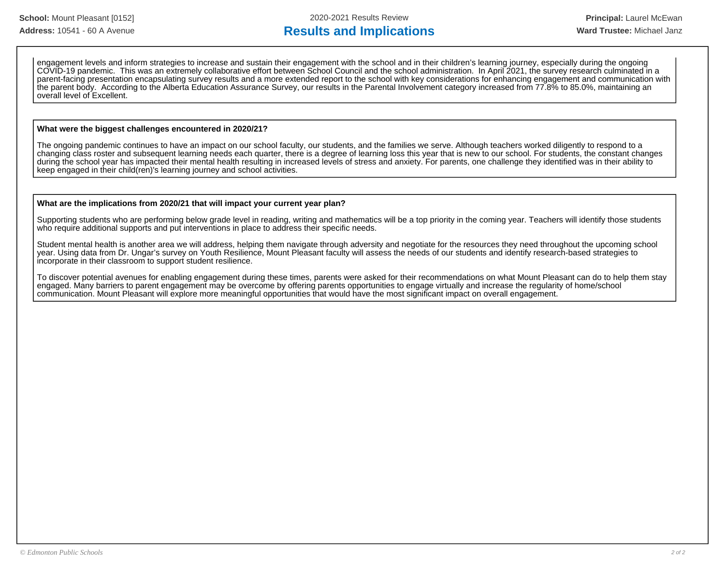engagement levels and inform strategies to increase and sustain their engagement with the school and in their children's learning journey, especially during the ongoing COVID-19 pandemic. This was an extremely collaborative effort between School Council and the school administration. In April 2021, the survey research culminated in a parent-facing presentation encapsulating survey results and a more extended report to the school with key considerations for enhancing engagement and communication with the parent body. According to the Alberta Education Assurance Survey, our results in the Parental Involvement category increased from 77.8% to 85.0%, maintaining an overall level of Excellent.

#### **What were the biggest challenges encountered in 2020/21?**

The ongoing pandemic continues to have an impact on our school faculty, our students, and the families we serve. Although teachers worked diligently to respond to a changing class roster and subsequent learning needs each quarter, there is a degree of learning loss this year that is new to our school. For students, the constant changes during the school year has impacted their mental health resulting in increased levels of stress and anxiety. For parents, one challenge they identified was in their ability to keep engaged in their child(ren)'s learning journey and school activities.

#### **What are the implications from 2020/21 that will impact your current year plan?**

Supporting students who are performing below grade level in reading, writing and mathematics will be a top priority in the coming year. Teachers will identify those students who require additional supports and put interventions in place to address their specific needs.

Student mental health is another area we will address, helping them navigate through adversity and negotiate for the resources they need throughout the upcoming school year. Using data from Dr. Ungar's survey on Youth Resilience, Mount Pleasant faculty will assess the needs of our students and identify research-based strategies to incorporate in their classroom to support student resilience.

To discover potential avenues for enabling engagement during these times, parents were asked for their recommendations on what Mount Pleasant can do to help them stay engaged. Many barriers to parent engagement may be overcome by offering parents opportunities to engage virtually and increase the regularity of home/school communication. Mount Pleasant will explore more meaningful opportunities that would have the most significant impact on overall engagement.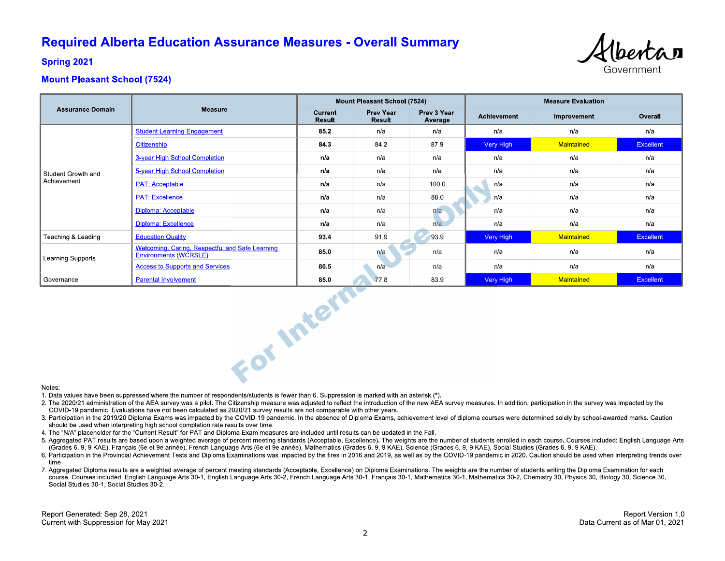## **Required Alberta Education Assurance Measures - Overall Summary**



**Spring 2021** 

### **Mount Pleasant School (7524)**

|                                   |                                                                          | <b>Mount Pleasant School (7524)</b> |                     |                        | <b>Measure Evaluation</b> |             |                  |  |
|-----------------------------------|--------------------------------------------------------------------------|-------------------------------------|---------------------|------------------------|---------------------------|-------------|------------------|--|
| <b>Assurance Domain</b>           | <b>Measure</b>                                                           | Current<br><b>Result</b>            | Prev Year<br>Result | Prev 3 Year<br>Average | Achievement               | Improvement | Overall          |  |
| Student Growth and<br>Achievement | <b>Student Learning Engagement</b>                                       | 85.2                                | n/a                 | n/a                    | n/a                       | n/a         | n/a              |  |
|                                   | Citizenship                                                              | 84.3                                | 84.2                | 879                    | Very High                 | Maintained  | <b>Excellent</b> |  |
|                                   | 3-year High School Completion                                            | n/a                                 | n/a                 | n/a                    | n/a                       | n/a         | n/a              |  |
|                                   | 5-year High School Completion                                            | n/a                                 | n/a                 | n/a                    | n/a                       | n/a         | n/a              |  |
|                                   | <b>PAT: Acceptable</b>                                                   | n/a                                 | n/a                 | 100.0                  | n/a                       | n/a         | n/a              |  |
|                                   | <b>PAT: Excellence</b>                                                   | n/a                                 | n/a                 | 88.0                   | n/a                       | n/a         | n/a              |  |
|                                   | Diploma: Acceptable                                                      | n/a                                 | n/a                 | n/a                    | n/a                       | n/a         | n/a              |  |
|                                   | Diploma: Excellence                                                      | n/a                                 | n/a                 | n/a                    | n/a                       | n/a         | n/a              |  |
| Teaching & Leading                | <b>Education Quality</b>                                                 | 93.4                                | 91.9                | 93.9                   | Very High                 | Maintained  | <b>Excellent</b> |  |
| Learning Supports                 | Welcoming, Caring, Respectful and Safe Learning<br>Environments (WCRSLE) | 85.0                                | n/a                 | n/a                    | n/a                       | n/a         | n/a              |  |
|                                   | <b>Access to Supports and Services</b>                                   | 80.5                                | n/a                 | n/a                    | n/a                       | n/a         | n/a              |  |
| Governance                        | <b>Parental Involvement</b>                                              | 85.0                                | 77.8                | 83.9                   | Very High                 | Maintained  | Excellent        |  |
| For Intern<br>Notes.              |                                                                          |                                     |                     |                        |                           |             |                  |  |

#### Notes:

1. Data values have been suppressed where the number of respondents/students is fewer than 6. Suppression is marked with an asterisk (\*).

- 2. The 2020/21 administration of the AEA survey was a pilot. The Citizenship measure was adjusted to reflect the introduction of the new AEA survey measures. In addition, participation in the survey was impacted by the COVID-19 pandemic. Evaluations have not been calculated as 2020/21 survey results are not comparable with other years.
- 3. Participation in the 2019/20 Diploma Exams was impacted by the COVID-19 pandemic. In the absence of Diploma Exams, achievement level of diploma courses were determined solely by school-awarded marks. Caution should be used when interpreting high school completion rate results over time.
- 4. The "N/A" placeholder for the "Current Result" for PAT and Diploma Exam measures are included until results can be updated in the Fall.
- 5. Aggregated PAT results are based upon a weighted average of percent meeting standards (Acceptable, Excellence). The weights are the number of students enrolled in each course. Courses included: English Language Arts (Grades 6, 9, 9 KAE), Français (6e et 9e année), French Language Arts (6e et 9e année), Mathematics (Grades 6, 9, 9 KAE), Science (Grades 6, 9, 9 KAE), Social Studies (Grades 6, 9, 9 KAE).
- 6. Participation in the Provincial Achievement Tests and Diploma Examinations was impacted by the fires in 2016 and 2019, as well as by the COVID-19 pandemic in 2020. Caution should be used when interpreting trends over time
- 7. Aggregated Diploma results are a weighted average of percent meeting standards (Acceptable, Excellence) on Diploma Examinations. The weights are the number of students writing the Diploma Examination for each course. Courses included: English Language Arts 30-1, English Language Arts 30-2, French Language Arts 30-1, Français 30-1, Mathematics 30-1, Mathematics 30-2, Chemistry 30, Physics 30, Biology 30, Science 30, Social Studies 30-1, Social Studies 30-2.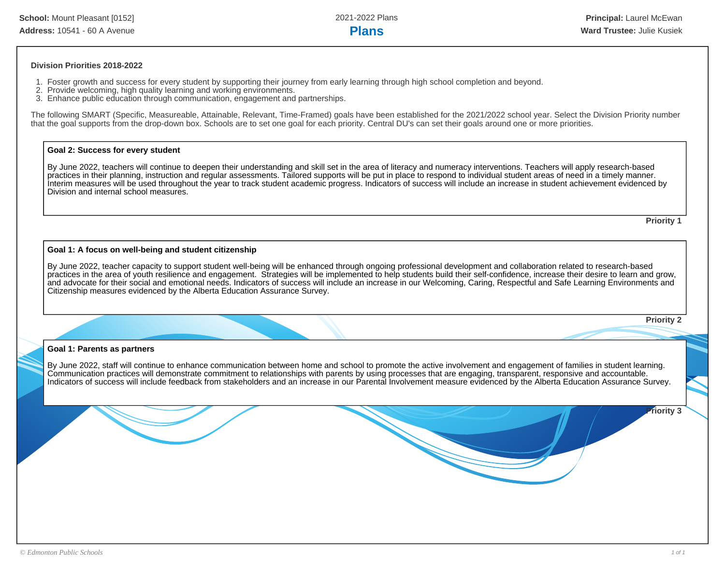#### **Division Priorities 2018-2022**

- 1. Foster growth and success for every student by supporting their journey from early learning through high school completion and beyond.
- 2. Provide welcoming, high quality learning and working environments.
- 3. Enhance public education through communication, engagement and partnerships.

The following SMART (Specific, Measureable, Attainable, Relevant, Time-Framed) goals have been established for the 2021/2022 school year. Select the Division Priority number that the goal supports from the drop-down box. Schools are to set one goal for each priority. Central DU's can set their goals around one or more priorities.

#### **Goal 2: Success for every student**

By June 2022, teachers will continue to deepen their understanding and skill set in the area of literacy and numeracy interventions. Teachers will apply research-based practices in their planning, instruction and regular assessments. Tailored supports will be put in place to respond to individual student areas of need in a timely manner. Interim measures will be used throughout the year to track student academic progress. Indicators of success will include an increase in student achievement evidenced by Division and internal school measures.

**Priority 1**

#### **Goal 1: A focus on well-being and student citizenship**

By June 2022, teacher capacity to support student well-being will be enhanced through ongoing professional development and collaboration related to research-based practices in the area of youth resilience and engagement. Strategies will be implemented to help students build their self-confidence, increase their desire to learn and grow, and advocate for their social and emotional needs. Indicators of success will include an increase in our Welcoming, Caring, Respectful and Safe Learning Environments and Citizenship measures evidenced by the Alberta Education Assurance Survey.

**Priority 2**

#### **Goal 1: Parents as partners**

By June 2022, staff will continue to enhance communication between home and school to promote the active involvement and engagement of families in student learning. Communication practices will demonstrate commitment to relationships with parents by using processes that are engaging, transparent, responsive and accountable. Indicators of success will include feedback from stakeholders and an increase in our Parental Involvement measure evidenced by the Alberta Education Assurance Survey.

**Priority 3**